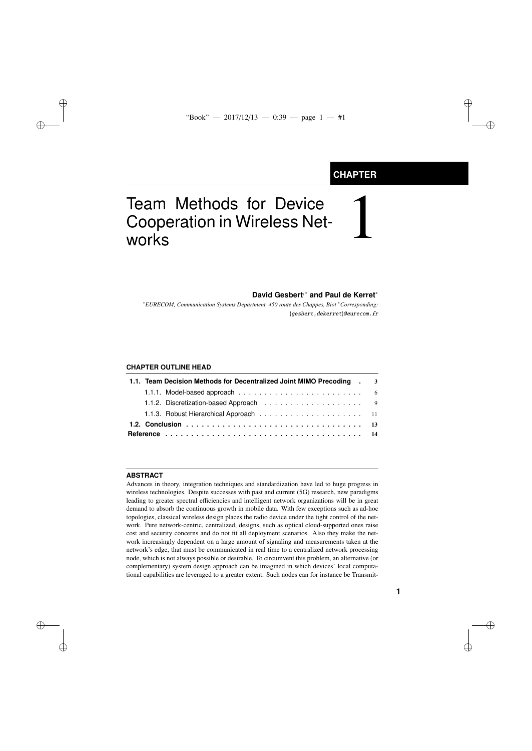"Book" — 2017/12/13 — 0:39 — page  $1 - #1$ 

# **CHAPTER**

1

 $\oplus$ 

✐

# Team Methods for Device Cooperation in Wireless Networks

#### **David Gesbert,**<sup>∗</sup> **and Paul de Kerret**<sup>∗</sup>

<sup>∗</sup>*EURECOM, Communication Systems Department, 450 route des Chappes, Biot* <sup>∗</sup>*Corresponding:* {gesbert,dekerret}@eurecom.fr

#### **CHAPTER OUTLINE HEAD**

| 1.1. Team Decision Methods for Decentralized Joint MIMO Precoding . 3 |  |
|-----------------------------------------------------------------------|--|
|                                                                       |  |
|                                                                       |  |
|                                                                       |  |
|                                                                       |  |
|                                                                       |  |

#### **ABSTRACT**

 $\oplus$ 

✐

✐

✐

Advances in theory, integration techniques and standardization have led to huge progress in wireless technologies. Despite successes with past and current (5G) research, new paradigms leading to greater spectral efficiencies and intelligent network organizations will be in great demand to absorb the continuous growth in mobile data. With few exceptions such as ad-hoc topologies, classical wireless design places the radio device under the tight control of the network. Pure network-centric, centralized, designs, such as optical cloud-supported ones raise cost and security concerns and do not fit all deployment scenarios. Also they make the network increasingly dependent on a large amount of signaling and measurements taken at the network's edge, that must be communicated in real time to a centralized network processing node, which is not always possible or desirable. To circumvent this problem, an alternative (or complementary) system design approach can be imagined in which devices' local computational capabilities are leveraged to a greater extent. Such nodes can for instance be Transmit-

#### **1**

 $\oplus$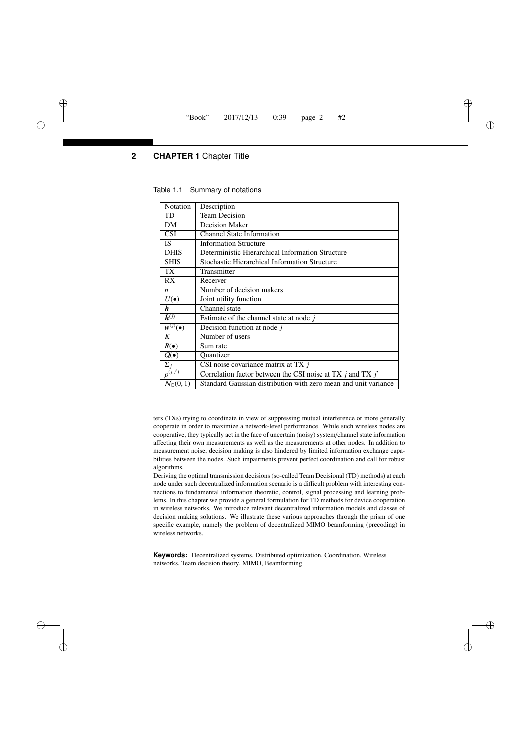## "Book" — 2017/12/13 — 0:39 — page  $2 - #2$

 $\oplus$ 

 $\oplus$ 

✐

✐

# **2 CHAPTER 1** Chapter Title

#### Table 1.1 Summary of notations

| Notation                        | Description                                                     |
|---------------------------------|-----------------------------------------------------------------|
| <b>TD</b>                       | <b>Team Decision</b>                                            |
| DM                              | <b>Decision Maker</b>                                           |
| <b>CSI</b>                      | <b>Channel State Information</b>                                |
| <b>IS</b>                       | <b>Information Structure</b>                                    |
| <b>DHIS</b>                     | Deterministic Hierarchical Information Structure                |
| <b>SHIS</b>                     | <b>Stochastic Hierarchical Information Structure</b>            |
| TX                              | Transmitter                                                     |
| RX                              | Receiver                                                        |
| $\boldsymbol{n}$                | Number of decision makers                                       |
| $U(\bullet)$                    | Joint utility function                                          |
| $\boldsymbol{h}$                | Channel state                                                   |
| $\hat{h}^{(j)}$                 | Estimate of the channel state at node j                         |
| $\overline{w^{(j)}(\bullet)}$   | Decision function at node $j$                                   |
| K                               | Number of users                                                 |
| $R(\bullet)$                    | Sum rate                                                        |
| $Q(\bullet)$                    | Quantizer                                                       |
| $\Sigma_i$                      | CSI noise covariance matrix at TX $j$                           |
| $\rho^{(j,j')}$                 | Correlation factor between the CSI noise at TX $j$ and TX $j'$  |
| $\mathcal{N}_{\mathbb{C}}(0,1)$ | Standard Gaussian distribution with zero mean and unit variance |

ters (TXs) trying to coordinate in view of suppressing mutual interference or more generally cooperate in order to maximize a network-level performance. While such wireless nodes are cooperative, they typically act in the face of uncertain (noisy) system/channel state information affecting their own measurements as well as the measurements at other nodes. In addition to measurement noise, decision making is also hindered by limited information exchange capabilities between the nodes. Such impairments prevent perfect coordination and call for robust algorithms.

Deriving the optimal transmission decisions (so-called Team Decisional (TD) methods) at each node under such decentralized information scenario is a difficult problem with interesting connections to fundamental information theoretic, control, signal processing and learning problems. In this chapter we provide a general formulation for TD methods for device cooperation in wireless networks. We introduce relevant decentralized information models and classes of decision making solutions. We illustrate these various approaches through the prism of one specific example, namely the problem of decentralized MIMO beamforming (precoding) in wireless networks.

**Keywords:** Decentralized systems, Distributed optimization, Coordination, Wireless networks, Team decision theory, MIMO, Beamforming

 $\oplus$ 

✐

✐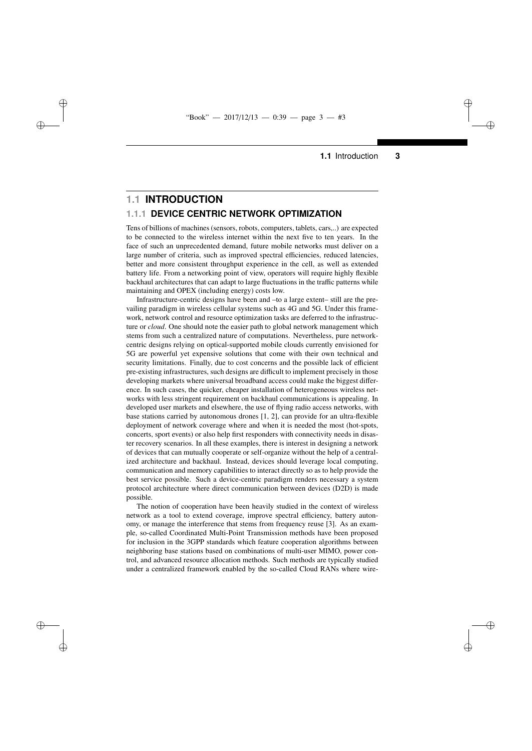#### "Book" —  $2017/12/13$  — 0:39 — page 3 — #3

### **1.1** Introduction **3**

✐

✐

✐

✐

# **1.1 INTRODUCTION**

✐

✐

✐

✐

# **1.1.1 DEVICE CENTRIC NETWORK OPTIMIZATION**

Tens of billions of machines (sensors, robots, computers, tablets, cars,..) are expected to be connected to the wireless internet within the next five to ten years. In the face of such an unprecedented demand, future mobile networks must deliver on a large number of criteria, such as improved spectral efficiencies, reduced latencies, better and more consistent throughput experience in the cell, as well as extended battery life. From a networking point of view, operators will require highly flexible backhaul architectures that can adapt to large fluctuations in the traffic patterns while maintaining and OPEX (including energy) costs low.

Infrastructure-centric designs have been and –to a large extent– still are the prevailing paradigm in wireless cellular systems such as 4G and 5G. Under this framework, network control and resource optimization tasks are deferred to the infrastructure or *cloud*. One should note the easier path to global network management which stems from such a centralized nature of computations. Nevertheless, pure networkcentric designs relying on optical-supported mobile clouds currently envisioned for 5G are powerful yet expensive solutions that come with their own technical and security limitations. Finally, due to cost concerns and the possible lack of efficient pre-existing infrastructures, such designs are difficult to implement precisely in those developing markets where universal broadband access could make the biggest difference. In such cases, the quicker, cheaper installation of heterogeneous wireless networks with less stringent requirement on backhaul communications is appealing. In developed user markets and elsewhere, the use of flying radio access networks, with base stations carried by autonomous drones [1, 2], can provide for an ultra-flexible deployment of network coverage where and when it is needed the most (hot-spots, concerts, sport events) or also help first responders with connectivity needs in disaster recovery scenarios. In all these examples, there is interest in designing a network of devices that can mutually cooperate or self-organize without the help of a centralized architecture and backhaul. Instead, devices should leverage local computing, communication and memory capabilities to interact directly so as to help provide the best service possible. Such a device-centric paradigm renders necessary a system protocol architecture where direct communication between devices (D2D) is made possible.

The notion of cooperation have been heavily studied in the context of wireless network as a tool to extend coverage, improve spectral efficiency, battery autonomy, or manage the interference that stems from frequency reuse [3]. As an example, so-called Coordinated Multi-Point Transmission methods have been proposed for inclusion in the 3GPP standards which feature cooperation algorithms between neighboring base stations based on combinations of multi-user MIMO, power control, and advanced resource allocation methods. Such methods are typically studied under a centralized framework enabled by the so-called Cloud RANs where wire-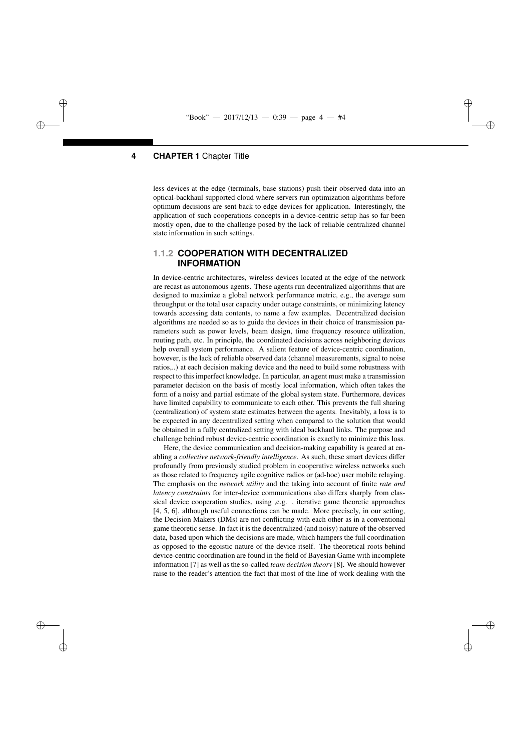✐

✐

✐

### **4 CHAPTER 1** Chapter Title

 $\oplus$ 

✐

✐

✐

less devices at the edge (terminals, base stations) push their observed data into an optical-backhaul supported cloud where servers run optimization algorithms before optimum decisions are sent back to edge devices for application. Interestingly, the application of such cooperations concepts in a device-centric setup has so far been mostly open, due to the challenge posed by the lack of reliable centralized channel state information in such settings.

# **1.1.2 COOPERATION WITH DECENTRALIZED INFORMATION**

In device-centric architectures, wireless devices located at the edge of the network are recast as autonomous agents. These agents run decentralized algorithms that are designed to maximize a global network performance metric, e.g., the average sum throughput or the total user capacity under outage constraints, or minimizing latency towards accessing data contents, to name a few examples. Decentralized decision algorithms are needed so as to guide the devices in their choice of transmission parameters such as power levels, beam design, time frequency resource utilization, routing path, etc. In principle, the coordinated decisions across neighboring devices help overall system performance. A salient feature of device-centric coordination, however, is the lack of reliable observed data (channel measurements, signal to noise ratios,..) at each decision making device and the need to build some robustness with respect to this imperfect knowledge. In particular, an agent must make a transmission parameter decision on the basis of mostly local information, which often takes the form of a noisy and partial estimate of the global system state. Furthermore, devices have limited capability to communicate to each other. This prevents the full sharing (centralization) of system state estimates between the agents. Inevitably, a loss is to be expected in any decentralized setting when compared to the solution that would be obtained in a fully centralized setting with ideal backhaul links. The purpose and challenge behind robust device-centric coordination is exactly to minimize this loss.

Here, the device communication and decision-making capability is geared at enabling a *collective network-friendly intelligence*. As such, these smart devices differ profoundly from previously studied problem in cooperative wireless networks such as those related to frequency agile cognitive radios or (ad-hoc) user mobile relaying. The emphasis on the *network utility* and the taking into account of finite *rate and latency constraints* for inter-device communications also differs sharply from classical device cooperation studies, using ,e.g. , iterative game theoretic approaches [4, 5, 6], although useful connections can be made. More precisely, in our setting, the Decision Makers (DMs) are not conflicting with each other as in a conventional game theoretic sense. In fact it is the decentralized (and noisy) nature of the observed data, based upon which the decisions are made, which hampers the full coordination as opposed to the egoistic nature of the device itself. The theoretical roots behind device-centric coordination are found in the field of Bayesian Game with incomplete information [7] as well as the so-called *team decision theory* [8]. We should however raise to the reader's attention the fact that most of the line of work dealing with the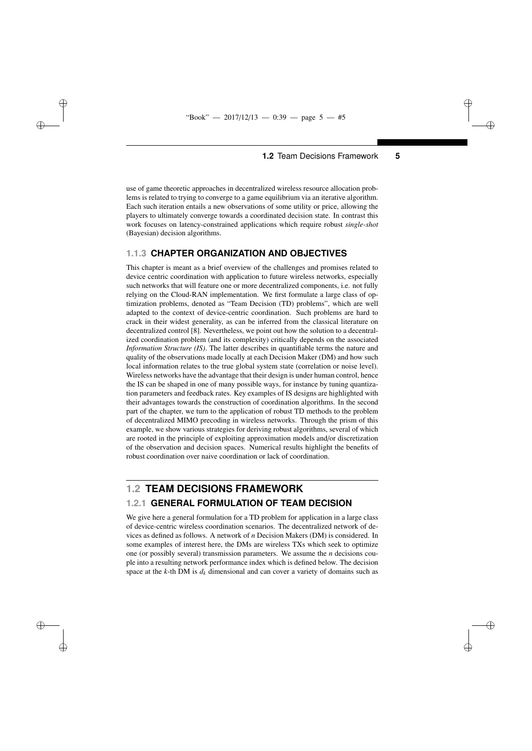#### **1.2** Team Decisions Framework **5**

✐

✐

✐

✐

use of game theoretic approaches in decentralized wireless resource allocation problems is related to trying to converge to a game equilibrium via an iterative algorithm. Each such iteration entails a new observations of some utility or price, allowing the players to ultimately converge towards a coordinated decision state. In contrast this work focuses on latency-constrained applications which require robust *single-shot* (Bayesian) decision algorithms.

# **1.1.3 CHAPTER ORGANIZATION AND OBJECTIVES**

✐

✐

✐

✐

This chapter is meant as a brief overview of the challenges and promises related to device centric coordination with application to future wireless networks, especially such networks that will feature one or more decentralized components, i.e. not fully relying on the Cloud-RAN implementation. We first formulate a large class of optimization problems, denoted as "Team Decision (TD) problems", which are well adapted to the context of device-centric coordination. Such problems are hard to crack in their widest generality, as can be inferred from the classical literature on decentralized control [8]. Nevertheless, we point out how the solution to a decentralized coordination problem (and its complexity) critically depends on the associated *Information Structure (IS)*. The latter describes in quantifiable terms the nature and quality of the observations made locally at each Decision Maker (DM) and how such local information relates to the true global system state (correlation or noise level). Wireless networks have the advantage that their design is under human control, hence the IS can be shaped in one of many possible ways, for instance by tuning quantization parameters and feedback rates. Key examples of IS designs are highlighted with their advantages towards the construction of coordination algorithms. In the second part of the chapter, we turn to the application of robust TD methods to the problem of decentralized MIMO precoding in wireless networks. Through the prism of this example, we show various strategies for deriving robust algorithms, several of which are rooted in the principle of exploiting approximation models and/or discretization of the observation and decision spaces. Numerical results highlight the benefits of robust coordination over naive coordination or lack of coordination.

# **1.2 TEAM DECISIONS FRAMEWORK**

# **1.2.1 GENERAL FORMULATION OF TEAM DECISION**

We give here a general formulation for a TD problem for application in a large class of device-centric wireless coordination scenarios. The decentralized network of devices as defined as follows. A network of *n* Decision Makers (DM) is considered. In some examples of interest here, the DMs are wireless TXs which seek to optimize one (or possibly several) transmission parameters. We assume the *n* decisions couple into a resulting network performance index which is defined below. The decision space at the  $k$ -th DM is  $d_k$  dimensional and can cover a variety of domains such as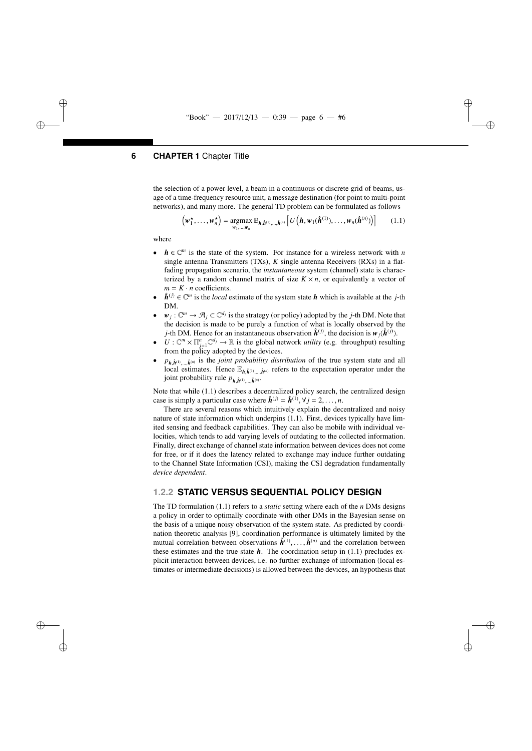### **6 CHAPTER 1** Chapter Title

the selection of a power level, a beam in a continuous or discrete grid of beams, usage of a time-frequency resource unit, a message destination (for point to multi-point networks), and many more. The general TD problem can be formulated as follows

$$
\left(w_1^{\star},\ldots,w_n^{\star}\right)=\underset{w_1,\ldots,w_n}{\operatorname{argmax}}\mathbb{E}_{h,\hat{h}^{(1)},\ldots,\hat{h}^{(n)}}\left[U\left(\boldsymbol{h},w_1(\hat{\boldsymbol{h}}^{(1)}),\ldots,w_n(\hat{\boldsymbol{h}}^{(n)})\right)\right]
$$
(1.1)

✐

✐

✐

✐

where

- $h \in \mathbb{C}^m$  is the state of the system. For instance for a wireless network with *n* single antenna Transmitters (TXs), *K* single antenna Receivers (RXs) in a flatfading propagation scenario, the *instantaneous* system (channel) state is characterized by a random channel matrix of size  $K \times n$ , or equivalently a vector of  $m = K \cdot n$  coefficients.
- $\hat{h}^{(j)} \in \mathbb{C}^m$  is the *local* estimate of the system state *h* which is available at the *j*-th DM.
- $w_j: \mathbb{C}^m \to \mathcal{A}_j \subset \mathbb{C}^{d_j}$  is the strategy (or policy) adopted by the *j*-th DM. Note that the decision is made to be purely a function of what is locally observed by the *j*-th DM. Hence for an instantaneous observation  $\hat{h}^{(j)}$ , the decision is  $w_j(\hat{h}^{(j)})$ .
- $U: \mathbb{C}^m \times \Pi_{j=1}^n \mathbb{C}^{d_j} \to \mathbb{R}$  is the global network *utility* (e.g. throughput) resulting from the policy adopted by the devices.
- $p_{h,\hat{h}^{(1)},..., \hat{h}^{(n)}}$  is the *joint probability distribution* of the true system state and all local estimates. Hence  $\mathbb{F}$   $\hat{h}$   $\hat{h}$  and  $\hat{h}$  refers to the expectation operator under the local estimates. Hence  $\mathbb{E}_{h,\hat{h}^{(1)},\dots,\hat{h}^{(n)}}$  refers to the expectation operator under the ioint probability rule  $P_{\text{max}}(x)$ . joint probability rule  $p_{h,\hat{h}^{(1)}, \dots, \hat{h}^{(n)}}$ .

Note that while (1.1) describes a decentralized policy search, the centralized design case is simply a particular case where  $\hat{h}^{(j)} = \hat{h}^{(1)}, \forall j = 2, ..., n$ .<br>There are several reasons which intuitively explain the dec

There are several reasons which intuitively explain the decentralized and noisy nature of state information which underpins (1.1). First, devices typically have limited sensing and feedback capabilities. They can also be mobile with individual velocities, which tends to add varying levels of outdating to the collected information. Finally, direct exchange of channel state information between devices does not come for free, or if it does the latency related to exchange may induce further outdating to the Channel State Information (CSI), making the CSI degradation fundamentally *device dependent*.

# **1.2.2 STATIC VERSUS SEQUENTIAL POLICY DESIGN**

The TD formulation (1.1) refers to a *static* setting where each of the *n* DMs designs a policy in order to optimally coordinate with other DMs in the Bayesian sense on the basis of a unique noisy observation of the system state. As predicted by coordination theoretic analysis [9], coordination performance is ultimately limited by the mutual correlation between observations  $\hat{h}^{(1)}, \ldots, \hat{h}^{(n)}$  and the correlation between<br>these estimates and the true state **h**. The coordination setup in (1.1) precludes exthese estimates and the true state *h*. The coordination setup in (1.1) precludes explicit interaction between devices, i.e. no further exchange of information (local estimates or intermediate decisions) is allowed between the devices, an hypothesis that

✐

✐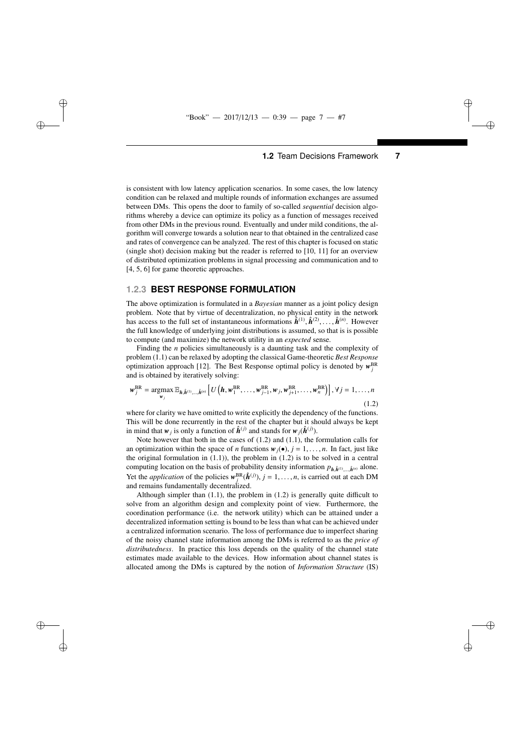#### **1.2** Team Decisions Framework **7**

✐

✐

✐

✐

is consistent with low latency application scenarios. In some cases, the low latency condition can be relaxed and multiple rounds of information exchanges are assumed between DMs. This opens the door to family of so-called *sequential* decision algorithms whereby a device can optimize its policy as a function of messages received from other DMs in the previous round. Eventually and under mild conditions, the algorithm will converge towards a solution near to that obtained in the centralized case and rates of convergence can be analyzed. The rest of this chapter is focused on static (single shot) decision making but the reader is referred to [10, 11] for an overview of distributed optimization problems in signal processing and communication and to [4, 5, 6] for game theoretic approaches.

# **1.2.3 BEST RESPONSE FORMULATION**

✐

✐

✐

✐

The above optimization is formulated in a *Bayesian* manner as a joint policy design problem. Note that by virtue of decentralization, no physical entity in the network has access to the full set of instantaneous informations  $\hat{h}^{(1)}$ ,  $\hat{h}^{(2)}$ , ...,  $\hat{h}^{(n)}$ . However the full knowledge of underlying joint distributions is assumed, so that is is possible the full knowledge of underlying joint distributions is assumed, so that is is possible to compute (and maximize) the network utility in an *expected* sense.

Finding the *n* policies simultaneously is a daunting task and the complexity of problem (1.1) can be relaxed by adopting the classical Game-theoretic *Best Response* optimization approach [12]. The Best Response optimal policy is denoted by  $w_j^{BR}$ and is obtained by iteratively solving:

$$
\boldsymbol{w}_{j}^{\text{BR}} = \underset{\boldsymbol{w}_{j}}{\operatorname{argmax}} \mathbb{E}_{\boldsymbol{h}, \hat{\boldsymbol{h}}^{(1)}, \dots, \hat{\boldsymbol{h}}^{(n)}} \left[ U\left(\boldsymbol{h}, \boldsymbol{w}_{1}^{\text{BR}}, \dots, \boldsymbol{w}_{j-1}^{\text{BR}}, \boldsymbol{w}_{j}, \boldsymbol{w}_{j+1}^{\text{BR}}, \dots, \boldsymbol{w}_{n}^{\text{BR}} \right) \right], \forall j = 1, \dots, n
$$
\n(1.2)

where for clarity we have omitted to write explicitly the dependency of the functions. This will be done recurrently in the rest of the chapter but it should always be kept in mind that  $w_j$  is only a function of  $\hat{h}^{(j)}$  and stands for  $w_j(\hat{h}^{(j)})$ .

Note however that both in the cases of (1.2) and (1.1), the formulation calls for an optimization within the space of *n* functions  $w_j(\bullet)$ ,  $j = 1, \ldots, n$ . In fact, just like the original formulation in (1.1)), the problem in (1.2) is to be solved in a central computing location on the basis of probability density information  $p_{h,\hat{h}^{(1)},\dots,\hat{h}^{(n)}}$  alone. Yet the *application* of the policies  $w_j^{\text{BR}}(\hat{h}^{(j)})$ ,  $j = 1, ..., n$ , is carried out at each DM and remains fundamentally decentralized and remains fundamentally decentralized.

Although simpler than (1.1), the problem in (1.2) is generally quite difficult to solve from an algorithm design and complexity point of view. Furthermore, the coordination performance (i.e. the network utility) which can be attained under a decentralized information setting is bound to be less than what can be achieved under a centralized information scenario. The loss of performance due to imperfect sharing of the noisy channel state information among the DMs is referred to as the *price of distributedness*. In practice this loss depends on the quality of the channel state estimates made available to the devices. How information about channel states is allocated among the DMs is captured by the notion of *Information Structure* (IS)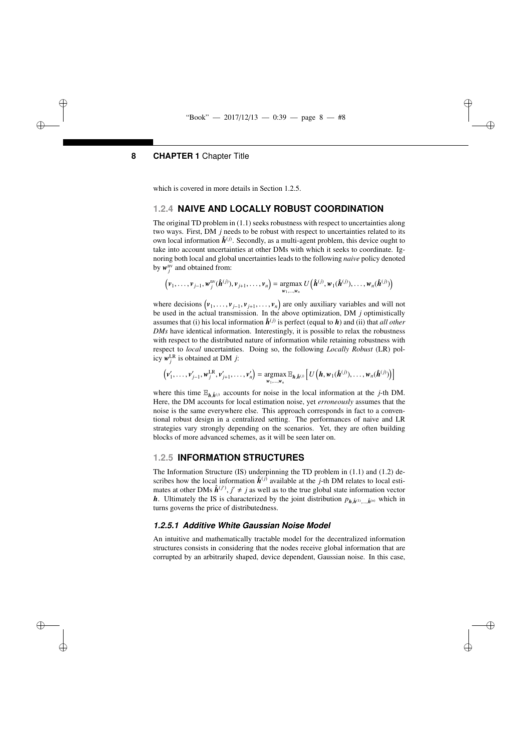✐

✐

✐

#### **8 CHAPTER 1** Chapter Title

 $\oplus$ 

✐

✐

✐

which is covered in more details in Section 1.2.5.

# **1.2.4 NAIVE AND LOCALLY ROBUST COORDINATION**

The original TD problem in (1.1) seeks robustness with respect to uncertainties along two ways. First, DM *j* needs to be robust with respect to uncertainties related to its own local information  $\hat{h}^{(j)}$ . Secondly, as a multi-agent problem, this device ought to take into account uncertainties at other DMs with which it seeks to coordinate. Ignoring both local and global uncertainties leads to the following *naive* policy denoted by  $w_j^{\text{nv}}$  and obtained from:

$$
(\mathbf{v}_1,\ldots,\mathbf{v}_{j-1},\mathbf{w}_j^{\text{nv}}(\hat{\boldsymbol{h}}^{(j)}),\mathbf{v}_{j+1},\ldots,\mathbf{v}_n)=\underset{\mathbf{w}_1,\ldots,\mathbf{w}_n}{\text{argmax}}\,U\left(\hat{\boldsymbol{h}}^{(j)},\mathbf{w}_1(\hat{\boldsymbol{h}}^{(j)}),\ldots,\mathbf{w}_n(\hat{\boldsymbol{h}}^{(j)})\right)
$$

where decisions  $(v_1, \ldots, v_{j-1}, v_{j+1}, \ldots, v_n)$  are only auxiliary variables and will not<br>be used in the actual transmission. In the above optimization, DM, *i* optimizically be used in the actual transmission. In the above optimization, DM *j* optimistically assumes that (i) his local information  $\hat{h}^{(j)}$  is perfect (equal to  $h$ ) and (ii) that *all other DMs* have identical information. Interestingly, it is possible to relax the robustness with respect to the distributed nature of information while retaining robustness with respect to *local* uncertainties. Doing so, the following *Locally Robust* (LR) policy  $w_j^{\text{LR}}$  is obtained at DM *j*:

$$
\left(\boldsymbol{v}'_1,\ldots,\boldsymbol{v}'_{j-1},\boldsymbol{w}^{\mathrm{LR}}_{j},\boldsymbol{v}'_{j+1},\ldots,\boldsymbol{v}'_{n}\right)=\underset{\boldsymbol{w}_1,\ldots,\boldsymbol{w}_n}{\operatorname{argmax}}\mathbb{E}_{\boldsymbol{h},\hat{\boldsymbol{h}}^{(j)}}\left[U\left(\boldsymbol{h},\boldsymbol{w}_1(\hat{\boldsymbol{h}}^{(j)}),\ldots,\boldsymbol{w}_n(\hat{\boldsymbol{h}}^{(j)})\right)\right]
$$

where this time  $\mathbb{E}_{h,\hat{h}^{(j)}}$  accounts for noise in the local information at the *j*-th DM. Here, the DM accounts for local estimation noise, yet *erroneously* assumes that the noise is the same everywhere else. This approach corresponds in fact to a conventional robust design in a centralized setting. The performances of naive and LR strategies vary strongly depending on the scenarios. Yet, they are often building blocks of more advanced schemes, as it will be seen later on.

# **1.2.5 INFORMATION STRUCTURES**

The Information Structure (IS) underpinning the TD problem in (1.1) and (1.2) describes how the local information  $\hat{h}^{(j)}$  available at the *j*-th DM relates to local estimates at other DMs  $\hat{h}^{(j)}$ ,  $j' \neq j$  as well as to the true global state information vector  $h$ . Ultimately the IS is characterized by the joint distribution *n*,  $\hat{h}^{(j)}$ , which in *h*. Ultimately the IS is characterized by the joint distribution  $p_{h,\hat{h}^{(1)},..., \hat{h}^{(n)}}$  which in turns governs the price of distributedness turns governs the price of distributedness.

#### *1.2.5.1 Additive White Gaussian Noise Model*

An intuitive and mathematically tractable model for the decentralized information structures consists in considering that the nodes receive global information that are corrupted by an arbitrarily shaped, device dependent, Gaussian noise. In this case,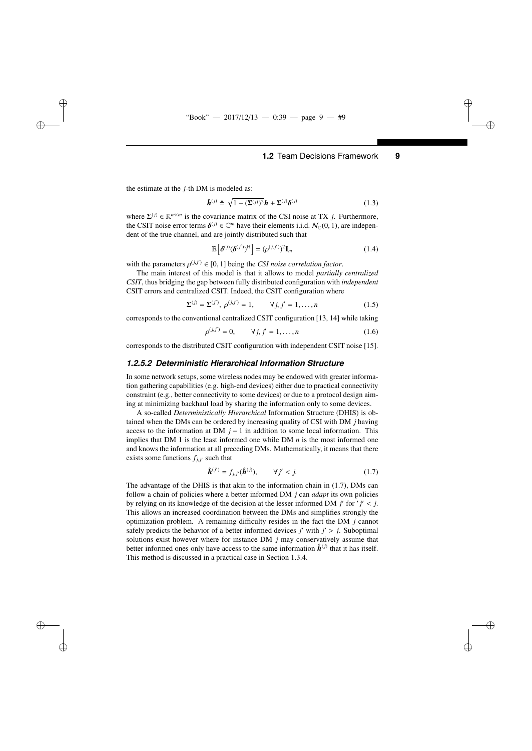#### **1.2** Team Decisions Framework **9**

✐

✐

✐

✐

the estimate at the *j*-th DM is modeled as:

✐

✐

✐

✐

$$
\hat{\boldsymbol{h}}^{(j)} \triangleq \sqrt{1 - (\Sigma^{(j)})^2} \boldsymbol{h} + \Sigma^{(j)} \delta^{(j)} \tag{1.3}
$$

where  $\Sigma^{(j)} \in \mathbb{R}^{m \times m}$  is the covariance matrix of the CSI noise at TX *j*. Furthermore, the CSIT noise error terms  $\delta^{(j)} \in \mathbb{C}^m$  have their elements i.i.d.  $\mathcal{N}_{\mathbb{C}}(0, 1)$ , are independent of the true channel, and are jointly distributed such that dent of the true channel, and are jointly distributed such that

$$
\mathbb{E}\left[\boldsymbol{\delta}^{(j)}(\boldsymbol{\delta}^{(j)})^{\mathrm{H}}\right] = (\rho^{(j,j')})^2 \mathbf{I}_m \tag{1.4}
$$

with the parameters  $\rho^{(j,j')} \in [0, 1]$  being the *CSI noise correlation factor*.<br>The main interest of this model is that it allows to model *nartially* 

The main interest of this model is that it allows to model *partially centralized CSIT*, thus bridging the gap between fully distributed configuration with *independent* CSIT errors and centralized CSIT. Indeed, the CSIT configuration where

$$
\Sigma^{(j)} = \Sigma^{(j')}, \ \rho^{(j,j')} = 1, \qquad \forall j, j' = 1, \dots, n \tag{1.5}
$$

corresponds to the conventional centralized CSIT configuration [13, 14] while taking

$$
\rho^{(j,j')} = 0, \qquad \forall j, j' = 1, \dots, n \tag{1.6}
$$

corresponds to the distributed CSIT configuration with independent CSIT noise [15].

#### *1.2.5.2 Deterministic Hierarchical Information Structure*

In some network setups, some wireless nodes may be endowed with greater information gathering capabilities (e.g. high-end devices) either due to practical connectivity constraint (e.g., better connectivity to some devices) or due to a protocol design aiming at minimizing backhaul load by sharing the information only to some devices.

A so-called *Deterministically Hierarchical* Information Structure (DHIS) is obtained when the DMs can be ordered by increasing quality of CSI with DM *j* having access to the information at DM  $j - 1$  in addition to some local information. This implies that DM 1 is the least informed one while DM *n* is the most informed one and knows the information at all preceding DMs. Mathematically, it means that there exists some functions  $f_{j,j'}$  such that

$$
\hat{\boldsymbol{h}}^{(j)} = f_{j,j'}(\hat{\boldsymbol{h}}^{(j)}), \qquad \forall j' < j. \tag{1.7}
$$

The advantage of the DHIS is that akin to the information chain in (1.7), DMs can follow a chain of policies where a better informed DM *j* can *adapt* its own policies by relying on its knowledge of the decision at the lesser informed DM  $j'$  for  $'j' < j$ .<br>This allows an increased coordination between the DMs and simplifies strongly the This allows an increased coordination between the DMs and simplifies strongly the optimization problem. A remaining difficulty resides in the fact the DM *j* cannot safely predicts the behavior of a better informed devices *j'* with  $j' > j$ . Suboptimal solutions exist however where for instance DM *i* may conservatively assume that solutions exist however where for instance DM *j* may conservatively assume that better informed ones only have access to the same information  $\hat{h}^{(j)}$  that it has itself. This method is discussed in a practical case in Section 1.3.4.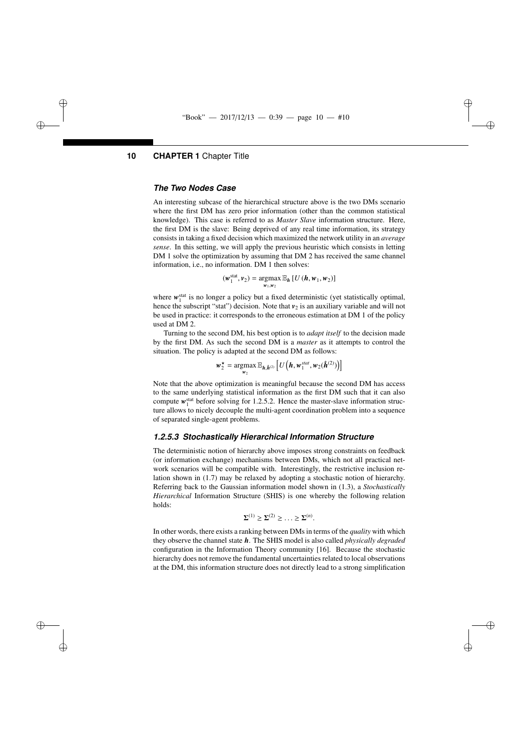✐

✐

✐

### **10 CHAPTER 1** Chapter Title

 $\oplus$ 

✐

✐

✐

#### *The Two Nodes Case*

An interesting subcase of the hierarchical structure above is the two DMs scenario where the first DM has zero prior information (other than the common statistical knowledge). This case is referred to as *Master Slave* information structure. Here, the first DM is the slave: Being deprived of any real time information, its strategy consists in taking a fixed decision which maximized the network utility in an *average sense*. In this setting, we will apply the previous heuristic which consists in letting DM 1 solve the optimization by assuming that DM 2 has received the same channel information, i.e., no information. DM 1 then solves:

$$
(\mathbf{w}_1^{\text{stat}}, \mathbf{v}_2) = \underset{\mathbf{w}_1, \mathbf{w}_2}{\text{argmax}} \mathbb{E}_{\mathbf{h}} \left[ U\left(\mathbf{h}, \mathbf{w}_1, \mathbf{w}_2\right) \right]
$$

where  $w_1^{\text{stat}}$  is no longer a policy but a fixed deterministic (yet statistically optimal, hence the subscript "stat") decision. Note that  $v_2$  is an auxiliary variable and will not be used in practice: it corresponds to the erroneous estimation at DM 1 of the policy used at DM 2.

Turning to the second DM, his best option is to *adapt itself* to the decision made by the first DM. As such the second DM is a *master* as it attempts to control the situation. The policy is adapted at the second DM as follows:

$$
\mathbf{w}_{2}^{\star} = \underset{\mathbf{w}_{2}}{\operatorname{argmax}} \mathbb{E}_{\mathbf{h}, \hat{\mathbf{h}}^{(2)}} \left[ U\left(\mathbf{h}, \mathbf{w}_{1}^{stat}, \mathbf{w}_{2}(\hat{\mathbf{h}}^{(2)})\right) \right]
$$

Note that the above optimization is meaningful because the second DM has access to the same underlying statistical information as the first DM such that it can also compute  $w_1^{\text{stat}}$  before solving for 1.2.5.2. Hence the master-slave information structure allows to nicely decouple the multi-agent coordination problem into a sequence of separated single-agent problems.

### *1.2.5.3 Stochastically Hierarchical Information Structure*

The deterministic notion of hierarchy above imposes strong constraints on feedback (or information exchange) mechanisms between DMs, which not all practical network scenarios will be compatible with. Interestingly, the restrictive inclusion relation shown in (1.7) may be relaxed by adopting a stochastic notion of hierarchy. Referring back to the Gaussian information model shown in (1.3), a *Stochastically Hierarchical* Information Structure (SHIS) is one whereby the following relation holds:

$$
\Sigma^{(1)} \geq \Sigma^{(2)} \geq \ldots \geq \Sigma^{(n)}
$$

In other words, there exists a ranking between DMs in terms of the *quality* with which they observe the channel state *h*. The SHIS model is also called *physically degraded* configuration in the Information Theory community [16]. Because the stochastic hierarchy does not remove the fundamental uncertainties related to local observations at the DM, this information structure does not directly lead to a strong simplification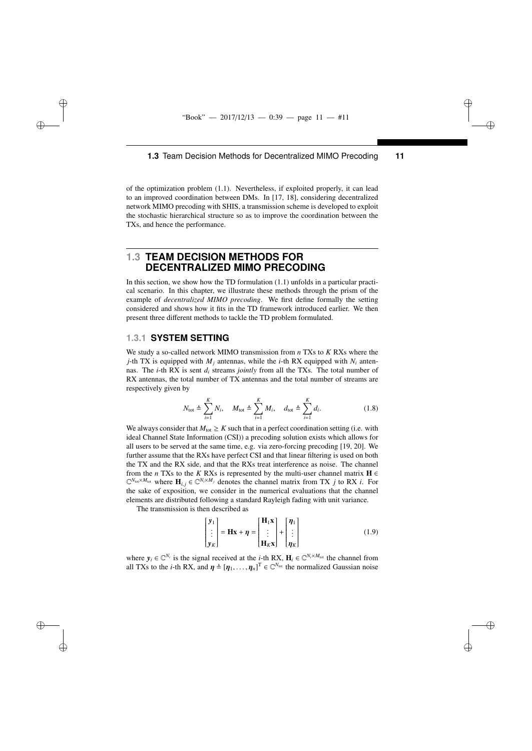✐

✐

✐

#### **1.3** Team Decision Methods for Decentralized MIMO Precoding **11**

of the optimization problem (1.1). Nevertheless, if exploited properly, it can lead to an improved coordination between DMs. In [17, 18], considering decentralized network MIMO precoding with SHIS, a transmission scheme is developed to exploit the stochastic hierarchical structure so as to improve the coordination between the TXs, and hence the performance.

# **1.3 TEAM DECISION METHODS FOR DECENTRALIZED MIMO PRECODING**

In this section, we show how the TD formulation  $(1.1)$  unfolds in a particular practical scenario. In this chapter, we illustrate these methods through the prism of the example of *decentralized MIMO precoding*. We first define formally the setting considered and shows how it fits in the TD framework introduced earlier. We then present three different methods to tackle the TD problem formulated.

#### **1.3.1 SYSTEM SETTING**

✐

✐

✐

✐

We study a so-called network MIMO transmission from *n* TXs to *K* RXs where the *j*-th TX is equipped with  $M_i$  antennas, while the *i*-th RX equipped with  $N_i$  antennas. The *i*-th RX is sent *d<sup>i</sup>* streams *jointly* from all the TXs. The total number of RX antennas, the total number of TX antennas and the total number of streams are respectively given by

$$
N_{\text{tot}} \triangleq \sum_{i=1}^{K} N_i, \quad M_{\text{tot}} \triangleq \sum_{i=1}^{K} M_i, \quad d_{\text{tot}} \triangleq \sum_{i=1}^{K} d_i. \tag{1.8}
$$

We always consider that  $M_{tot} \geq K$  such that in a perfect coordination setting (i.e. with ideal Channel State Information (CSI)) a precoding solution exists which allows for all users to be served at the same time, e.g. via zero-forcing precoding [19, 20]. We further assume that the RXs have perfect CSI and that linear filtering is used on both the TX and the RX side, and that the RXs treat interference as noise. The channel from the *n* TXs to the *K* RXs is represented by the multi-user channel matrix  $H \in$  $\mathbb{C}^{N_{\text{tot}} \times M_{\text{tot}}}$  where  $\mathbf{H}_{i,j} \in \mathbb{C}^{N_i \times M_j}$  denotes the channel matrix from TX *j* to RX *i*. For the sake of exposition, we consider in the numerical evaluations that the channel elements are distributed following a standard Rayleigh fading with unit variance.

The transmission is then described as

$$
\begin{bmatrix} \mathbf{y}_1 \\ \vdots \\ \mathbf{y}_K \end{bmatrix} = \mathbf{H}\mathbf{x} + \boldsymbol{\eta} = \begin{bmatrix} \mathbf{H}_1 \mathbf{x} \\ \vdots \\ \mathbf{H}_K \mathbf{x} \end{bmatrix} + \begin{bmatrix} \boldsymbol{\eta}_1 \\ \vdots \\ \boldsymbol{\eta}_K \end{bmatrix}
$$
(1.9)

where  $y_i \in \mathbb{C}^{N_i}$  is the signal received at the *i*-th RX,  $\mathbf{H}_i \in \mathbb{C}^{N_i \times M_{\text{tot}}}$  the channel from all TXs to the *i*-th RX, and  $\boldsymbol{\eta} \triangleq [\boldsymbol{\eta}_1, \dots, \boldsymbol{\eta}_n]^T \in \mathbb{C}^{N_{\text{tot}}}$  the normalized Gaussian noise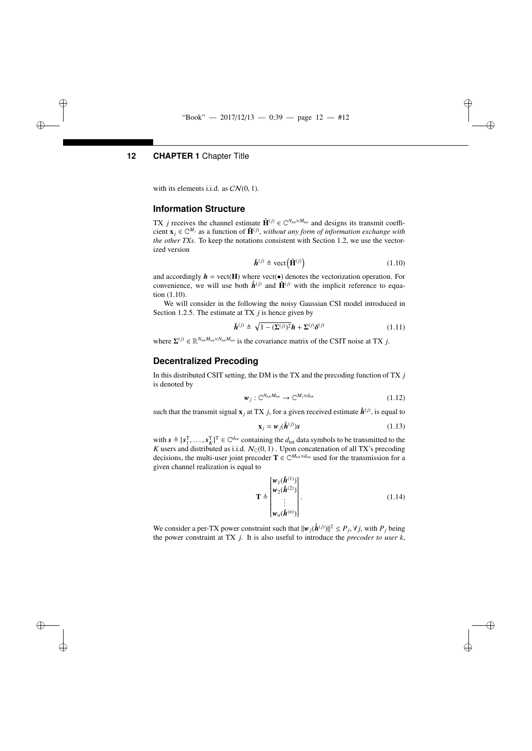# **12 CHAPTER 1** Chapter Title

with its elements i.i.d. as  $CN(0, 1)$ .

# **Information Structure**

TX *j* receives the channel estimate  $\hat{H}^{(j)} \in \mathbb{C}^{N_{\text{tot}} \times M_{\text{tot}}}$  and designs its transmit coefficient  $\mathbf{x}_j \in \mathbb{C}^{M_j}$  as a function of  $\hat{\mathbf{H}}^{(j)}$ , *without any form of information exchange with the other TXs*. To keep the notations consistent with Section 1.2, we use the vectorized version

$$
\hat{\boldsymbol{h}}^{(j)} \triangleq \text{vect}\left(\hat{\mathbf{H}}^{(j)}\right) \tag{1.10}
$$

✐

 $\oplus$ 

✐

✐

and accordingly  $h = \text{vect}(H)$  where  $\text{vect}(\bullet)$  denotes the vectorization operation. For convenience, we will use both  $\hat{h}^{(j)}$  and  $\hat{H}^{(j)}$  with the implicit reference to equation (1.10).

We will consider in the following the noisy Gaussian CSI model introduced in Section 1.2.5. The estimate at TX *j* is hence given by

$$
\hat{\boldsymbol{h}}^{(j)} \triangleq \sqrt{1 - (\Sigma^{(j)})^2} \boldsymbol{h} + \Sigma^{(j)} \delta^{(j)} \tag{1.11}
$$

where  $\Sigma^{(j)} \in \mathbb{R}^{N_{\text{tot}}M_{\text{tot}} \times N_{\text{tot}}M_{\text{tot}}}$  is the covariance matrix of the CSIT noise at TX *j*.

#### **Decentralized Precoding**

In this distributed CSIT setting, the DM is the TX and the precoding function of TX *j* is denoted by

$$
w_j: \mathbb{C}^{N_{\text{tot}}M_{\text{tot}}} \to \mathbb{C}^{M_j \times d_{\text{tot}}}
$$
 (1.12)

such that the transmit signal  $\mathbf{x}_j$  at TX *j*, for a given received estimate  $\hat{\boldsymbol{h}}^{(j)}$ , is equal to

$$
\mathbf{x}_{j} = \mathbf{w}_{j}(\hat{\boldsymbol{h}}^{(j)})\mathbf{s}
$$
 (1.13)

with  $s \triangleq [s_1^T, \ldots, s_K^T]^T \in \mathbb{C}^{d_{\text{tot}}}$  containing the  $d_{\text{tot}}$  data symbols to be transmitted to the <br>*K* users and distributed as i i d.  $\mathcal{N}_{\alpha}(0, 1)$ . Upon concatenation of all TX's precoding *K* users and distributed as i.i.d.  $N_{\mathbb{C}}(0, 1)$ . Upon concatenation of all TX's precoding decisions, the multi-user joint precoder **T**  $\in \mathbb{C}^{M_{\text{tot}} \times d_{\text{tot}}}$  used for the transmission for a given channel realization is equal to

$$
\mathbf{T} \triangleq \begin{bmatrix} \mathbf{w}_1(\hat{\mathbf{h}}^{(1)}) \\ \mathbf{w}_2(\hat{\mathbf{h}}^{(2)}) \\ \vdots \\ \mathbf{w}_n(\hat{\mathbf{h}}^{(n)}) \end{bmatrix} .
$$
 (1.14)

We consider a per-TX power constraint such that  $\|\mathbf{w}_j(\hat{\mathbf{h}}^{(j)})\|^2 \leq P_j, \forall j$ , with  $P_j$  being the nower constraint at TX *i*. It is also useful to introduce the *precoder to user k* the power constraint at TX *j*. It is also useful to introduce the *precoder to user k*,

✐

✐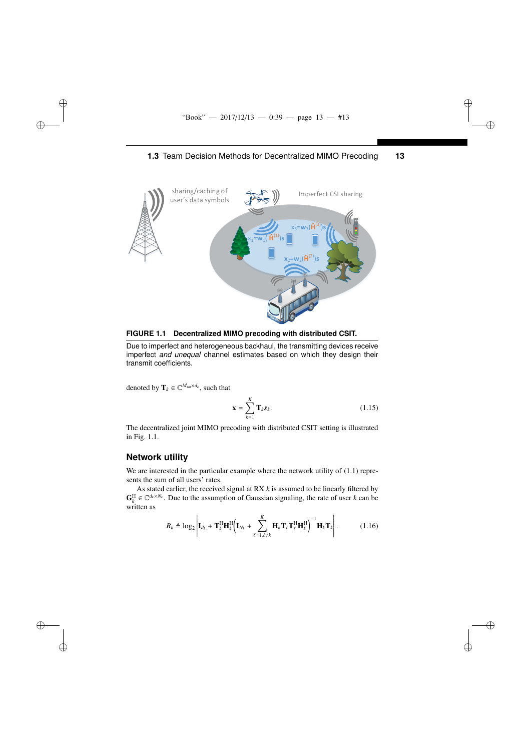

# **1.3** Team Decision Methods for Decentralized MIMO Precoding **13**

 $\bigoplus$ 

 $\oplus$ 

✐

✐

**FIGURE 1.1 Decentralized MIMO precoding with distributed CSIT.**

Due to imperfect and heterogeneous backhaul, the transmitting devices receive imperfect *and unequal* channel estimates based on which they design their transmit coefficients.

denoted by  $\mathbf{T}_k \in \mathbb{C}^{M_{\text{tot}} \times d_k}$ , such that

$$
\mathbf{x} = \sum_{k=1}^{K} \mathbf{T}_k s_k.
$$
 (1.15)

The decentralized joint MIMO precoding with distributed CSIT setting is illustrated in Fig. 1.1.

# **Network utility**

 $\oplus$ 

✐

✐

✐

We are interested in the particular example where the network utility of  $(1.1)$  represents the sum of all users' rates.

As stated earlier, the received signal at RX *k* is assumed to be linearly filtered by  $G_k^H \in \mathbb{C}^{d_k \times N_k}$ . Due to the assumption of Gaussian signaling, the rate of user *k* can be written as

$$
R_k \triangleq \log_2 \left| \mathbf{I}_{d_k} + \mathbf{T}_k^{\mathrm{H}} \mathbf{H}_k^{\mathrm{H}} \left( \mathbf{I}_{N_k} + \sum_{\ell=1,\ell \neq k}^K \mathbf{H}_k \mathbf{T}_\ell \mathbf{T}_\ell^{\mathrm{H}} \mathbf{H}_k^{\mathrm{H}} \right)^{-1} \mathbf{H}_k \mathbf{T}_k \right|.
$$
 (1.16)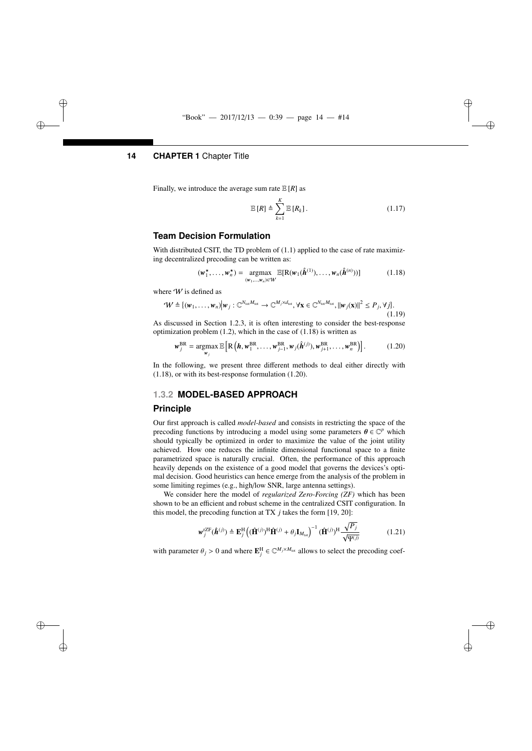# **14 CHAPTER 1** Chapter Title

 $\oplus$ 

✐

✐

✐

Finally, we introduce the average sum rate  $E[R]$  as

$$
\mathbb{E}\left[R\right] \triangleq \sum_{k=1}^{K} \mathbb{E}\left[R_k\right]. \tag{1.17}
$$

✐

✐

✐

✐

# **Team Decision Formulation**

With distributed CSIT, the TD problem of  $(1.1)$  applied to the case of rate maximizing decentralized precoding can be written as:

$$
(\mathbf{w}_1^{\star}, \dots, \mathbf{w}_n^{\star}) = \underset{(\mathbf{w}_1, \dots, \mathbf{w}_n) \in \mathcal{W}}{\operatorname{argmax}} \mathbb{E}[\mathbf{R}(\mathbf{w}_1(\hat{\boldsymbol{h}}^{(1)}), \dots, \mathbf{w}_n(\hat{\boldsymbol{h}}^{(n)}))]
$$
(1.18)

where  $W$  is defined as

$$
\mathcal{W} \triangleq \{(\boldsymbol{w}_1,\ldots,\boldsymbol{w}_n)|\boldsymbol{w}_j:\mathbb{C}^{N_{\text{tot}}M_{\text{tot}}} \to \mathbb{C}^{M_j \times d_{\text{tot}}}, \forall \mathbf{x} \in \mathbb{C}^{N_{\text{tot}}M_{\text{tot}}}, ||\boldsymbol{w}_j(\mathbf{x})||^2 \leq P_j, \forall j\}. \tag{1.19}
$$

As discussed in Section 1.2.3, it is often interesting to consider the best-response optimization problem  $(1.2)$ , which in the case of  $(1.18)$  is written as

$$
\boldsymbol{w}_{j}^{\text{BR}} = \underset{\boldsymbol{w}_{j}}{\operatorname{argmax}} \mathbb{E}\left[\mathbf{R}\left(\boldsymbol{h}, \boldsymbol{w}_{1}^{\text{BR}}, \ldots, \boldsymbol{w}_{j-1}^{\text{BR}}, \boldsymbol{w}_{j}(\hat{\boldsymbol{h}}^{(j)}), \boldsymbol{w}_{j+1}^{\text{BR}}, \ldots, \boldsymbol{w}_{n}^{\text{BR}}\right)\right].
$$
 (1.20)

In the following, we present three different methods to deal either directly with (1.18), or with its best-response formulation (1.20).

## **1.3.2 MODEL-BASED APPROACH**

## **Principle**

Our first approach is called *model-based* and consists in restricting the space of the precoding functions by introducing a model using some parameters  $\theta \in \mathbb{C}^p$  which should typically be optimized in order to maximize the value of the joint utility should typically be optimized in order to maximize the value of the joint utility achieved. How one reduces the infinite dimensional functional space to a finite parametrized space is naturally crucial. Often, the performance of this approach heavily depends on the existence of a good model that governs the devices's optimal decision. Good heuristics can hence emerge from the analysis of the problem in some limiting regimes (e.g., high/low SNR, large antenna settings).

We consider here the model of *regularized Zero-Forcing (ZF)* which has been shown to be an efficient and robust scheme in the centralized CSIT configuration. In this model, the precoding function at TX *j* takes the form [19, 20]:

$$
\boldsymbol{w}_{j}^{\text{rZF}}(\hat{\boldsymbol{h}}^{(j)}) \triangleq \mathbf{E}_{j}^{\text{H}}\left((\hat{\mathbf{H}}^{(j)})^{\text{H}}\hat{\mathbf{H}}^{(j)} + \theta_{j}\mathbf{I}_{M_{\text{tot}}}\right)^{-1}(\hat{\mathbf{H}}^{(j)})^{\text{H}}\frac{\sqrt{P_{j}}}{\sqrt{\Psi^{(j)}}}
$$
(1.21)

with parameter  $\theta_j > 0$  and where  $\mathbf{E}_j^H \in \mathbb{C}^{M_j \times M_{tot}}$  allows to select the precoding coef-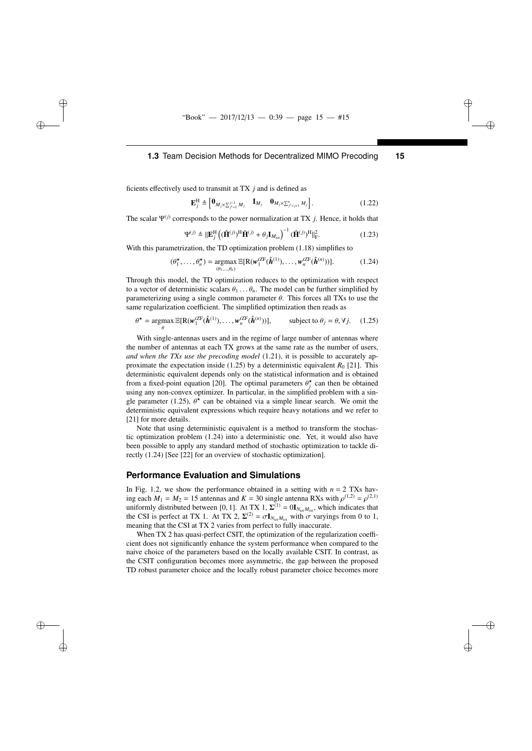#### **1.3** Team Decision Methods for Decentralized MIMO Precoding **15**

ficients effectively used to transmit at TX *j* and is defined as

✐

✐

✐

✐

$$
\mathbf{E}_{j}^{\mathrm{H}} \triangleq \left[ \mathbf{0}_{M_{j} \times \sum_{j'=1}^{j-1} M_{j}} \quad \mathbf{I}_{M_{j}} \quad \mathbf{0}_{M_{j} \times \sum_{j'=j+1}^{n} M_{j}} \right]. \tag{1.22}
$$

✐

✐

✐

✐

The scalar  $\Psi^{(j)}$  corresponds to the power normalization at TX *j*. Hence, it holds that

$$
\Psi^{(j)} \triangleq \|\mathbf{E}_{j}^{\mathrm{H}}\left((\hat{\mathbf{H}}^{(j)})^{\mathrm{H}}\hat{\mathbf{H}}^{(j)} + \theta_{j}\mathbf{I}_{M_{\mathrm{tot}}}\right)^{-1}(\hat{\mathbf{H}}^{(j)})^{\mathrm{H}}\|_{\mathrm{F}}^{2}.
$$
 (1.23)

With this parametrization, the TD optimization problem (1.18) simplifies to

$$
(\theta_1^{\star}, \dots, \theta_n^{\star}) = \underset{(\theta_1, \dots, \theta_n)}{\operatorname{argmax}} \mathbb{E}[\mathbf{R}(\mathbf{w}_1^{\mathsf{rZF}}(\hat{\boldsymbol{h}}^{(1)}), \dots, \mathbf{w}_n^{\mathsf{rZF}}(\hat{\boldsymbol{h}}^{(n)}))]. \tag{1.24}
$$

Through this model, the TD optimization reduces to the optimization with respect to a vector of deterministic scalars  $\theta_1 \dots \theta_n$ . The model can be further simplified by parameterizing using a single common parameter  $\theta$ . This forces all TXs to use the same regularization coefficient. The simplified optimization then reads as

$$
\theta^{\star} = \underset{\theta}{\operatorname{argmax}} \mathbb{E}[\mathbf{R}(\mathbf{w}_{1}^{rZF}(\hat{\boldsymbol{h}}^{(1)}), \dots, \mathbf{w}_{n}^{rZF}(\hat{\boldsymbol{h}}^{(n)}))], \qquad \text{subject to } \theta_{j} = \theta, \forall j. \quad (1.25)
$$

With single-antennas users and in the regime of large number of antennas where the number of antennas at each TX grows at the same rate as the number of users, *and when the TXs use the precoding model* (1.21), it is possible to accurately approximate the expectation inside (1.25) by a deterministic equivalent  $R_0$  [21]. This deterministic equivalent depends only on the statistical information and is obtained from a fixed-point equation [20]. The optimal parameters  $\theta_j^*$  can then be obtained<br>using any non-convex optimizer. In particular, in the simplified problem with a sinusing any non-convex optimizer. In particular, in the simplified problem with a single parameter  $(1.25)$ ,  $\theta^*$  can be obtained via a simple linear search. We omit the deterministic equivalent expressions which require heavy notations and we refer to deterministic equivalent expressions which require heavy notations and we refer to [21] for more details.

Note that using deterministic equivalent is a method to transform the stochastic optimization problem (1.24) into a deterministic one. Yet, it would also have been possible to apply any standard method of stochastic optimization to tackle directly (1.24) [See [22] for an overview of stochastic optimization].

#### **Performance Evaluation and Simulations**

In Fig. 1.2, we show the performance obtained in a setting with  $n = 2$  TXs having each  $M_1 = M_2 = 15$  antennas and  $K = 30$  single antenna RXs with  $\rho$ <br>uniformly distributed between  $[0, 1]$  At TX  $1 - \Sigma^{(1)} = 0$  J<sub>V</sub>, which in  $^{(1,2)}=\rho^{(2,1)}$ dicates that uniformly distributed between [0, 1]. At TX 1,  $\Sigma^{(1)} = 0$ **I**<sub>Ntot</sub>*M*<sub>tot</sub>, which indicates that the CSI is perfect at TX 1. At TX 2,  $\Sigma^{(2)} = \sigma$ **I**<sub>M</sub>, we with  $\sigma$  varyings from 0 to 1. the CSI is perfect at TX 1. At TX 2,  $\Sigma^{(2)} = \sigma I_{N_{tot}M_{tot}}$  with  $\sigma$  varyings from 0 to 1,<br>meaning that the CSI at TX 2 varies from perfect to fully inaccurate meaning that the CSI at TX 2 varies from perfect to fully inaccurate.

When TX 2 has quasi-perfect CSIT, the optimization of the regularization coefficient does not significantly enhance the system performance when compared to the naive choice of the parameters based on the locally available CSIT. In contrast, as the CSIT configuration becomes more asymmetric, the gap between the proposed TD robust parameter choice and the locally robust parameter choice becomes more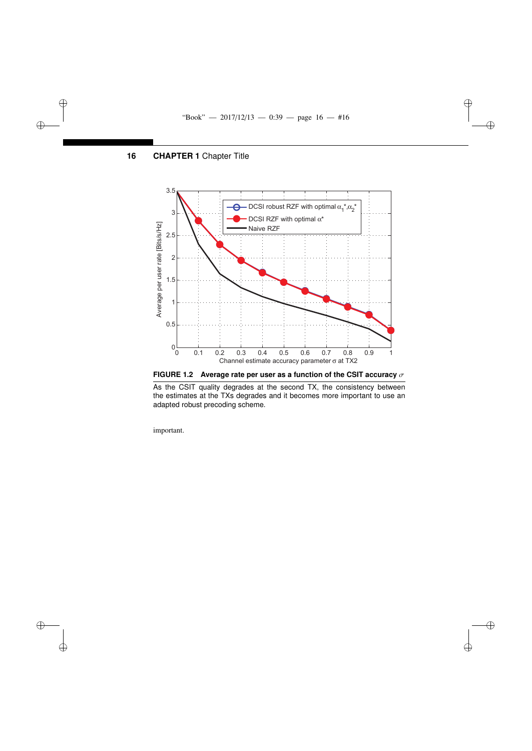"Book" —  $2017/12/13$  — 0:39 — page 16 — #16

# **16 CHAPTER 1** Chapter Title

 $\bigoplus$ 

 $\bigoplus$ 

 $\oplus$ 

 $\oplus$ 



**FIGURE 1.2 Average rate per user as a function of the CSIT accuracy** σ

As the CSIT quality degrades at the second TX, the consistency between the estimates at the TXs degrades and it becomes more important to use an adapted robust precoding scheme.

important.

 $\bigoplus$ 

 $\oplus$ 

 $\oplus$ 

 $\bigoplus$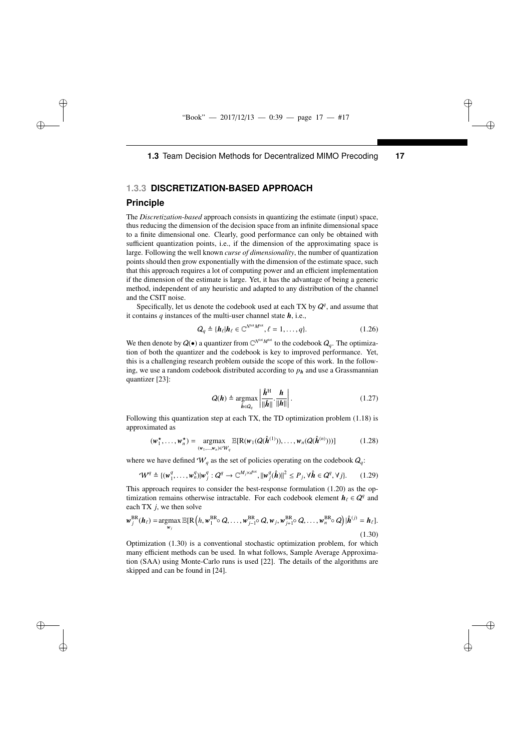#### **1.3** Team Decision Methods for Decentralized MIMO Precoding **17**

# **1.3.3 DISCRETIZATION-BASED APPROACH**

# **Principle**

✐

✐

✐

✐

The *Discretization-based* approach consists in quantizing the estimate (input) space, thus reducing the dimension of the decision space from an infinite dimensional space to a finite dimensional one. Clearly, good performance can only be obtained with sufficient quantization points, i.e., if the dimension of the approximating space is large. Following the well known *curse of dimensionality*, the number of quantization points should then grow exponentially with the dimension of the estimate space, such that this approach requires a lot of computing power and an efficient implementation if the dimension of the estimate is large. Yet, it has the advantage of being a generic method, independent of any heuristic and adapted to any distribution of the channel and the CSIT noise.

Specifically, let us denote the codebook used at each TX by  $Q<sup>q</sup>$ , and assume that it contains *q* instances of the multi-user channel state *h*, i.e.,

$$
Q_q \triangleq \{h_\ell | h_\ell \in \mathbb{C}^{N^{\text{tot}} M^{\text{tot}}}, \ell = 1, \dots, q\}.
$$
 (1.26)

We then denote by  $Q(\bullet)$  a quantizer from  $\mathbb{C}^{N^{\text{tot}}M^{\text{tot}}}$  to the codebook  $Q_q$ . The optimization of both the quantizer and the codebook is key to improved performance. Yet, this is a challenging research problem outside the scope of this work. In the following, we use a random codebook distributed according to *p<sup>h</sup>* and use a Grassmannian quantizer [23]:

$$
Q(\boldsymbol{h}) \triangleq \underset{\hat{\boldsymbol{h}} \in Q_q}{\operatorname{argmax}} \left| \frac{\hat{\boldsymbol{h}}^{\mathrm{H}}}{\|\hat{\boldsymbol{h}}\|} \cdot \frac{\boldsymbol{h}}{\|\boldsymbol{h}\|} \right|.
$$
 (1.27)

Following this quantization step at each TX, the TD optimization problem (1.18) is approximated as

$$
(\boldsymbol{w}_1^{\star},\ldots,\boldsymbol{w}_n^{\star})=\underset{(\boldsymbol{w}_1,\ldots,\boldsymbol{w}_n)\in W_q}{\operatorname{argmax}}\mathbb{E}[\mathbf{R}(\boldsymbol{w}_1(Q(\hat{\boldsymbol{h}}^{(1)})),\ldots,\boldsymbol{w}_n(Q(\hat{\boldsymbol{h}}^{(n)})))]
$$
(1.28)

where we have defined  $W_q$  as the set of policies operating on the codebook  $Q_q$ :

$$
\mathcal{W}^q \triangleq \{ (\mathbf{w}_1^q, \dots, \mathbf{w}_n^q) | \mathbf{w}_j^q : \mathcal{Q}^q \to \mathbb{C}^{M_j \times d^{\text{tot}}}, ||\mathbf{w}_j^q(\hat{\mathbf{h}})||^2 \le P_j, \forall \hat{\mathbf{h}} \in \mathcal{Q}^q, \forall j \}. \tag{1.29}
$$

This approach requires to consider the best-response formulation (1.20) as the optimization remains otherwise intractable. For each codebook element  $h_{\ell} \in Q^q$  and each TV i we then solve each TX *j*, we then solve

$$
\boldsymbol{w}_{j}^{\text{BR}}(\boldsymbol{h}_{\ell}) = \underset{\boldsymbol{w}_{j}}{\operatorname{argmax}} \mathbb{E}[\mathbf{R}\left(h, \boldsymbol{w}_{1}^{\text{BR}} \circ \boldsymbol{Q}, \ldots, \boldsymbol{w}_{j-1}^{\text{BR}} \circ \boldsymbol{Q}, \boldsymbol{w}_{j}, \boldsymbol{w}_{j+1}^{\text{BR}} \circ \boldsymbol{Q}, \ldots, \boldsymbol{w}_{n}^{\text{BR}} \circ \boldsymbol{Q}\right) | \hat{\boldsymbol{h}}^{(j)} = \boldsymbol{h}_{\ell}].
$$
\n(1.30)

Optimization (1.30) is a conventional stochastic optimization problem, for which many efficient methods can be used. In what follows, Sample Average Approximation (SAA) using Monte-Carlo runs is used [22]. The details of the algorithms are skipped and can be found in [24].

 $\oplus$ 

✐

✐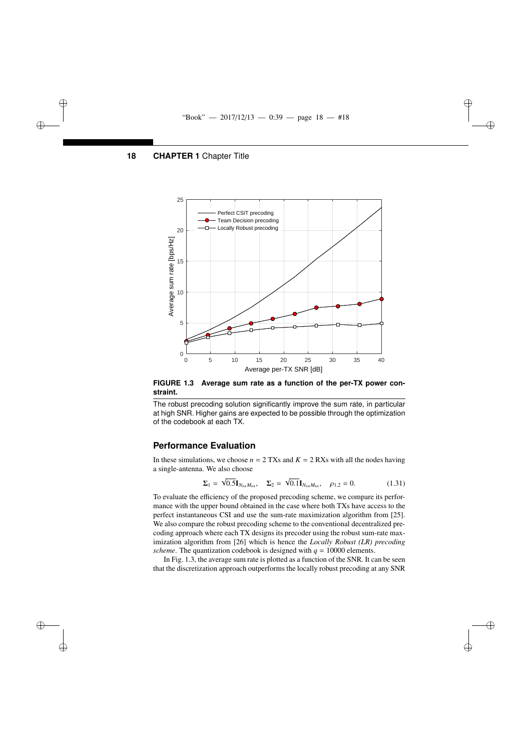# **18 CHAPTER 1** Chapter Title

 $\oplus$ 

 $\oplus$ 

 $\oplus$ 

✐



**FIGURE 1.3 Average sum rate as a function of the per-TX power constraint.**

The robust precoding solution significantly improve the sum rate, in particular at high SNR. Higher gains are expected to be possible through the optimization of the codebook at each TX.

### **Performance Evaluation**

In these simulations, we choose  $n = 2$  TXs and  $K = 2$  RXs with all the nodes having a single-antenna. We also choose

$$
\Sigma_1 = \sqrt{0.5} \mathbf{I}_{N_{\text{tot}}M_{\text{tot}}}, \quad \Sigma_2 = \sqrt{0.1} \mathbf{I}_{N_{\text{tot}}M_{\text{tot}}}, \quad \rho_{1,2} = 0. \tag{1.31}
$$

To evaluate the efficiency of the proposed precoding scheme, we compare its performance with the upper bound obtained in the case where both TXs have access to the perfect instantaneous CSI and use the sum-rate maximization algorithm from [25]. We also compare the robust precoding scheme to the conventional decentralized precoding approach where each TX designs its precoder using the robust sum-rate maximization algorithm from [26] which is hence the *Locally Robust (LR) precoding scheme*. The quantization codebook is designed with  $q = 10000$  elements.

In Fig. 1.3, the average sum rate is plotted as a function of the SNR. It can be seen that the discretization approach outperforms the locally robust precoding at any SNR

 $\oplus$ 

✐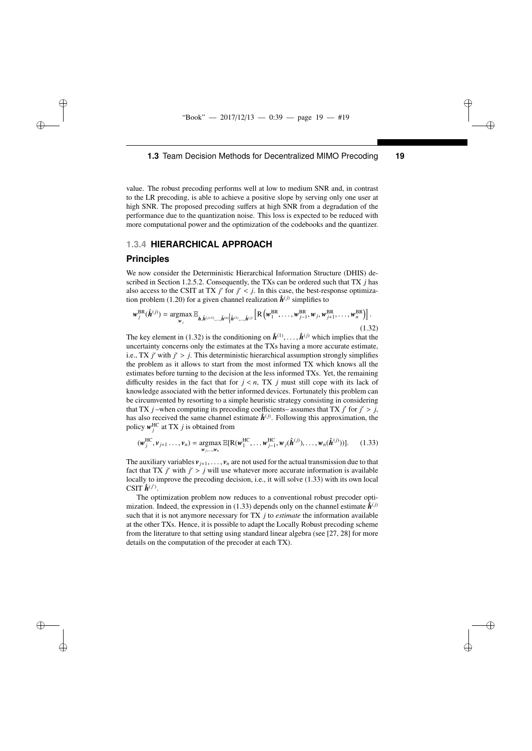✐

✐

✐

#### **1.3** Team Decision Methods for Decentralized MIMO Precoding **19**

value. The robust precoding performs well at low to medium SNR and, in contrast to the LR precoding, is able to achieve a positive slope by serving only one user at high SNR. The proposed precoding suffers at high SNR from a degradation of the performance due to the quantization noise. This loss is expected to be reduced with more computational power and the optimization of the codebooks and the quantizer.

#### **1.3.4 HIERARCHICAL APPROACH**

# **Principles**

✐

✐

✐

✐

We now consider the Deterministic Hierarchical Information Structure (DHIS) described in Section 1.2.5.2. Consequently, the TXs can be ordered such that TX *j* has also access to the CSIT at TX *j'* for  $j' < j$ . In this case, the best-response optimization problem (1.20) for a given channel realization  $\hat{h}^{(j)}$  simplifies to tion problem (1.20) for a given channel realization  $\hat{h}^{(j)}$  simplifies to

$$
\boldsymbol{w}_{j}^{\text{BR}}(\hat{\boldsymbol{h}}^{(j)}) = \underset{\boldsymbol{w}_{j}}{\operatorname{argmax}} \mathbb{E}_{\boldsymbol{h}, \hat{\boldsymbol{h}}^{(j+1)}, \dots, \hat{\boldsymbol{h}}^{(n)}} \Big[ R\left(\boldsymbol{w}_{1}^{\text{BR}}, \dots, \boldsymbol{w}_{j-1}^{\text{BR}}, \boldsymbol{w}_{j}, \boldsymbol{w}_{j+1}^{\text{BR}}, \dots, \boldsymbol{w}_{n}^{\text{BR}}\right) \Big].
$$
\n(1.32)

The key element in (1.32) is the conditioning on  $\hat{h}^{(1)}, \dots, \hat{h}^{(j)}$  which implies that the uncertainty concerns only the estimates at the TXs having a more accurate estimate uncertainty concerns only the estimates at the TXs having a more accurate estimate, i.e.,  $TX$  *j'* with  $j' > j$ . This deterministic hierarchical assumption strongly simplifies the problem as it allows to start from the most informed  $TX$  which knows all the the problem as it allows to start from the most informed TX which knows all the estimates before turning to the decision at the less informed TXs. Yet, the remaining difficulty resides in the fact that for  $j < n$ , TX  $j$  must still cope with its lack of knowledge associated with the better informed devices. Fortunately this problem can be circumvented by resorting to a simple heuristic strategy consisting in considering that TX *j* –when computing its precoding coefficients– assumes that TX *j'* for *j'* > *j*,<br>has also received the same channel estimate  $\hat{h}^{(j)}$ . Following this approximation, the has also received the same channel estimate  $\hat{h}^{(j)}$ . Following this approximation, the policy  $w_j^{\text{HC}}$  at TX *j* is obtained from

$$
(\boldsymbol{w}_j^{\text{HC}}, \boldsymbol{v}_{j+1} \dots, \boldsymbol{v}_n) = \underset{\boldsymbol{w}_{j,\dots,\text{W}_n}}{\text{argmax}} \mathbb{E}[\mathbf{R}(\boldsymbol{w}_1^{\text{HC}}, \dots \boldsymbol{w}_{j-1}^{\text{HC}}, \boldsymbol{w}_j(\hat{\boldsymbol{h}}^{(j)}), \dots, \boldsymbol{w}_n(\hat{\boldsymbol{h}}^{(j)}))]. \tag{1.33}
$$

The auxiliary variables  $v_{j+1}, \ldots, v_n$  are not used for the actual transmission due to that fact that TX *j'* with  $j' > j$  will use whatever more accurate information is available<br>locally to improve the precoding decision i.e. it will solve (1.33) with its own local locally to improve the precoding decision, i.e., it will solve (1.33) with its own local CSIT  $\hat{h}^{(j')}$ .

The optimization problem now reduces to a conventional robust precoder optimization. Indeed, the expression in (1.33) depends only on the channel estimate  $\hat{h}^{(j)}$ such that it is not anymore necessary for TX *j* to *estimate* the information available at the other TXs. Hence, it is possible to adapt the Locally Robust precoding scheme from the literature to that setting using standard linear algebra (see [27, 28] for more details on the computation of the precoder at each TX).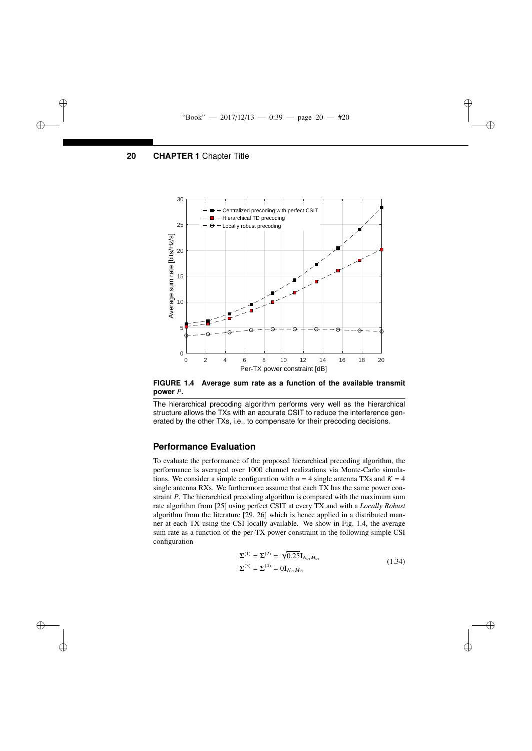"Book" — 2017/12/13 — 0:39 — page  $20 - #20$ 

# **20 CHAPTER 1** Chapter Title

 $\oplus$ 

 $\oplus$ 

 $\oplus$ 

 $\bigoplus$ 



**FIGURE 1.4 Average sum rate as a function of the available transmit power** *P***.**

The hierarchical precoding algorithm performs very well as the hierarchical structure allows the TXs with an accurate CSIT to reduce the interference generated by the other TXs, i.e., to compensate for their precoding decisions.

# **Performance Evaluation**

To evaluate the performance of the proposed hierarchical precoding algorithm, the performance is averaged over 1000 channel realizations via Monte-Carlo simulations. We consider a simple configuration with  $n = 4$  single antenna TXs and  $K = 4$ single antenna RXs. We furthermore assume that each TX has the same power constraint *P*. The hierarchical precoding algorithm is compared with the maximum sum rate algorithm from [25] using perfect CSIT at every TX and with a *Locally Robust* algorithm from the literature [29, 26] which is hence applied in a distributed manner at each TX using the CSI locally available. We show in Fig. 1.4, the average sum rate as a function of the per-TX power constraint in the following simple CSI configuration

$$
\Sigma^{(1)} = \Sigma^{(2)} = \sqrt{0.25} \mathbf{I}_{N_{\text{tot}} M_{\text{tot}}} \n\Sigma^{(3)} = \Sigma^{(4)} = 0 \mathbf{I}_{N_{\text{tot}} M_{\text{tot}}} \tag{1.34}
$$

 $\oplus$ 

✐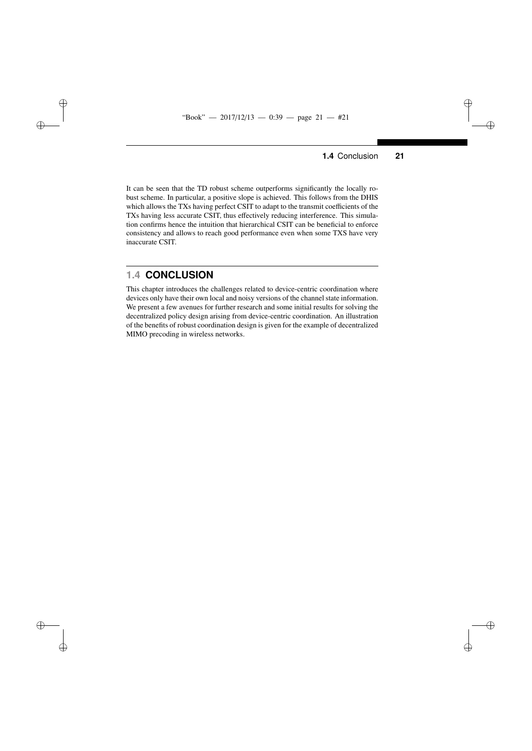# **1.4** Conclusion **21**

 $\oplus$ 

 $\oplus$ 

✐

✐

It can be seen that the TD robust scheme outperforms significantly the locally robust scheme. In particular, a positive slope is achieved. This follows from the DHIS which allows the TXs having perfect CSIT to adapt to the transmit coefficients of the TXs having less accurate CSIT, thus effectively reducing interference. This simulation confirms hence the intuition that hierarchical CSIT can be beneficial to enforce consistency and allows to reach good performance even when some TXS have very inaccurate CSIT.

# **1.4 CONCLUSION**

 $\bigoplus$ 

 $\oplus$ 

✐

✐

This chapter introduces the challenges related to device-centric coordination where devices only have their own local and noisy versions of the channel state information. We present a few avenues for further research and some initial results for solving the decentralized policy design arising from device-centric coordination. An illustration of the benefits of robust coordination design is given for the example of decentralized MIMO precoding in wireless networks.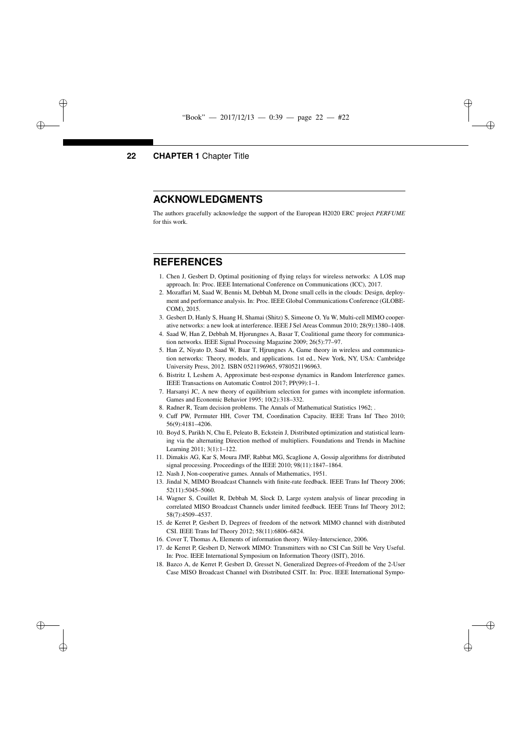✐

✐

✐

## **22 CHAPTER 1** Chapter Title

 $\oplus$ 

✐

✐

✐

# **ACKNOWLEDGMENTS**

The authors gracefully acknowledge the support of the European H2020 ERC project *PERFUME* for this work.

# **REFERENCES**

- 1. Chen J, Gesbert D, Optimal positioning of flying relays for wireless networks: A LOS map approach. In: Proc. IEEE International Conference on Communications (ICC), 2017.
- 2. Mozaffari M, Saad W, Bennis M, Debbah M, Drone small cells in the clouds: Design, deployment and performance analysis. In: Proc. IEEE Global Communications Conference (GLOBE-COM), 2015.
- 3. Gesbert D, Hanly S, Huang H, Shamai (Shitz) S, Simeone O, Yu W, Multi-cell MIMO cooperative networks: a new look at interference. IEEE J Sel Areas Commun 2010; 28(9):1380–1408.
- 4. Saad W, Han Z, Debbah M, Hjorungnes A, Basar T, Coalitional game theory for communication networks. IEEE Signal Processing Magazine 2009; 26(5):77–97.
- 5. Han Z, Niyato D, Saad W, Baar T, Hjrungnes A, Game theory in wireless and communication networks: Theory, models, and applications. 1st ed., New York, NY, USA: Cambridge University Press, 2012. ISBN 0521196965, 9780521196963.
- 6. Bistritz I, Leshem A, Approximate best-response dynamics in Random Interference games. IEEE Transactions on Automatic Control 2017; PP(99):1–1.
- 7. Harsanyi JC, A new theory of equilibrium selection for games with incomplete information. Games and Economic Behavior 1995; 10(2):318–332.
- 8. Radner R, Team decision problems. The Annals of Mathematical Statistics 1962;
- 9. Cuff PW, Permuter HH, Cover TM, Coordination Capacity. IEEE Trans Inf Theo 2010; 56(9):4181–4206.
- 10. Boyd S, Parikh N, Chu E, Peleato B, Eckstein J, Distributed optimization and statistical learning via the alternating Direction method of multipliers. Foundations and Trends in Machine Learning 2011; 3(1):1–122.
- 11. Dimakis AG, Kar S, Moura JMF, Rabbat MG, Scaglione A, Gossip algorithms for distributed signal processing. Proceedings of the IEEE 2010; 98(11):1847–1864.
- 12. Nash J, Non-cooperative games. Annals of Mathematics, 1951.
- 13. Jindal N, MIMO Broadcast Channels with finite-rate feedback. IEEE Trans Inf Theory 2006; 52(11):5045–5060.
- 14. Wagner S, Couillet R, Debbah M, Slock D, Large system analysis of linear precoding in correlated MISO Broadcast Channels under limited feedback. IEEE Trans Inf Theory 2012; 58(7):4509–4537.
- 15. de Kerret P, Gesbert D, Degrees of freedom of the network MIMO channel with distributed CSI. IEEE Trans Inf Theory 2012; 58(11):6806–6824.
- 16. Cover T, Thomas A, Elements of information theory. Wiley-Interscience, 2006.
- 17. de Kerret P, Gesbert D, Network MIMO: Transmitters with no CSI Can Still be Very Useful. In: Proc. IEEE International Symposium on Information Theory (ISIT), 2016.
- 18. Bazco A, de Kerret P, Gesbert D, Gresset N, Generalized Degrees-of-Freedom of the 2-User Case MISO Broadcast Channel with Distributed CSIT. In: Proc. IEEE International Sympo-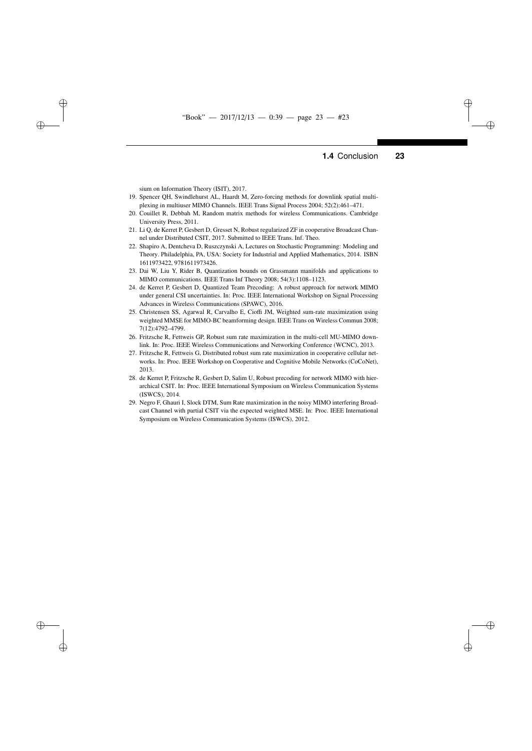### **1.4** Conclusion **23**

 $\oplus$ 

 $\oplus$ 

✐

✐

sium on Information Theory (ISIT), 2017.

 $\oplus$ 

✐

✐

- 19. Spencer QH, Swindlehurst AL, Haardt M, Zero-forcing methods for downlink spatial multiplexing in multiuser MIMO Channels. IEEE Trans Signal Process 2004; 52(2):461–471.
- 20. Couillet R, Debbah M, Random matrix methods for wireless Communications. Cambridge University Press, 2011.
- 21. Li Q, de Kerret P, Gesbert D, Gresset N, Robust regularized ZF in cooperative Broadcast Channel under Distributed CSIT, 2017. Submitted to IEEE Trans. Inf. Theo.
- 22. Shapiro A, Dentcheva D, Ruszczynski A, Lectures on Stochastic Programming: Modeling and Theory. Philadelphia, PA, USA: Society for Industrial and Applied Mathematics, 2014. ISBN 1611973422, 9781611973426.
- 23. Dai W, Liu Y, Rider B, Quantization bounds on Grassmann manifolds and applications to MIMO communications. IEEE Trans Inf Theory 2008; 54(3):1108–1123.
- 24. de Kerret P, Gesbert D, Quantized Team Precoding: A robust approach for network MIMO under general CSI uncertainties. In: Proc. IEEE International Workshop on Signal Processing Advances in Wireless Communications (SPAWC), 2016.
- 25. Christensen SS, Agarwal R, Carvalho E, Cioffi JM, Weighted sum-rate maximization using weighted MMSE for MIMO-BC beamforming design. IEEE Trans on Wireless Commun 2008; 7(12):4792–4799.
- 26. Fritzsche R, Fettweis GP, Robust sum rate maximization in the multi-cell MU-MIMO downlink. In: Proc. IEEE Wireless Communications and Networking Conference (WCNC), 2013.
- 27. Fritzsche R, Fettweis G, Distributed robust sum rate maximization in cooperative cellular networks. In: Proc. IEEE Workshop on Cooperative and Cognitive Mobile Networks (CoCoNet), 2013.
- 28. de Kerret P, Fritzsche R, Gesbert D, Salim U, Robust precoding for network MIMO with hierarchical CSIT. In: Proc. IEEE International Symposium on Wireless Communication Systems (ISWCS), 2014.
- 29. Negro F, Ghauri I, Slock DTM, Sum Rate maximization in the noisy MIMO interfering Broadcast Channel with partial CSIT via the expected weighted MSE. In: Proc. IEEE International Symposium on Wireless Communication Systems (ISWCS), 2012.